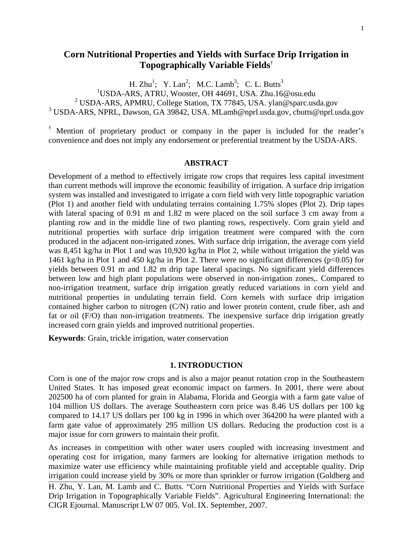# **Corn Nutritional Properties and Yields with Surface Drip Irrigation in Topographically Variable Fields**†

H. Zhu<sup>1</sup>; Y. Lan<sup>2</sup>; M.C. Lamb<sup>3</sup>; C. L. Butts<sup>3</sup>

USDA-ARS, ATRU, Wooster, OH 44691, USA. Zhu.16@osu.edu

<sup>2</sup> USDA-ARS, APMRU, College Station, TX 77845, USA. ylan@sparc.usda.gov

3 USDA-ARS, NPRL, Dawson, GA 39842, USA. MLamb@nprl.usda.gov, cbutts@nprl.usda.gov

† Mention of proprietary product or company in the paper is included for the reader's convenience and does not imply any endorsement or preferential treatment by the USDA-ARS.

### **ABSTRACT**

Development of a method to effectively irrigate row crops that requires less capital investment than current methods will improve the economic feasibility of irrigation. A surface drip irrigation system was installed and investigated to irrigate a corn field with very little topographic variation (Plot 1) and another field with undulating terrains containing 1.75% slopes (Plot 2). Drip tapes with lateral spacing of 0.91 m and 1.82 m were placed on the soil surface 3 cm away from a planting row and in the middle line of two planting rows, respectively. Corn grain yield and nutritional properties with surface drip irrigation treatment were compared with the corn produced in the adjacent non-irrigated zones. With surface drip irrigation, the average corn yield was 8,451 kg/ha in Plot 1 and was 10,920 kg/ha in Plot 2, while without irrigation the yield was 1461 kg/ha in Plot 1 and 450 kg/ha in Plot 2. There were no significant differences (p<0.05) for yields between 0.91 m and 1.82 m drip tape lateral spacings. No significant yield differences between low and high plant populations were observed in non-irrigation zones,. Compared to non-irrigation treatment, surface drip irrigation greatly reduced variations in corn yield and nutritional properties in undulating terrain field. Corn kernels with surface drip irrigation contained higher carbon to nitrogen (C/N) ratio and lower protein content, crude fiber, ash and fat or oil (F/O) than non-irrigation treatments. The inexpensive surface drip irrigation greatly increased corn grain yields and improved nutritional properties.

**Keywords**: Grain, trickle irrigation, water conservation

### **1. INTRODUCTION**

Corn is one of the major row crops and is also a major peanut rotation crop in the Southeastern United States. It has imposed great economic impact on farmers. In 2001, there were about 202500 ha of corn planted for grain in Alabama, Florida and Georgia with a farm gate value of 104 million US dollars. The average Southeastern corn price was 8.46 US dollars per 100 kg compared to 14.17 US dollars per 100 kg in 1996 in which over 364200 ha were planted with a farm gate value of approximately 295 million US dollars. Reducing the production cost is a major issue for corn growers to maintain their profit.

As increases in competition with other water users coupled with increasing investment and operating cost for irrigation, many farmers are looking for alternative irrigation methods to maximize water use efficiency while maintaining profitable yield and acceptable quality. Drip irrigation could increase yield by 30% or more than sprinkler or furrow irrigation (Goldberg and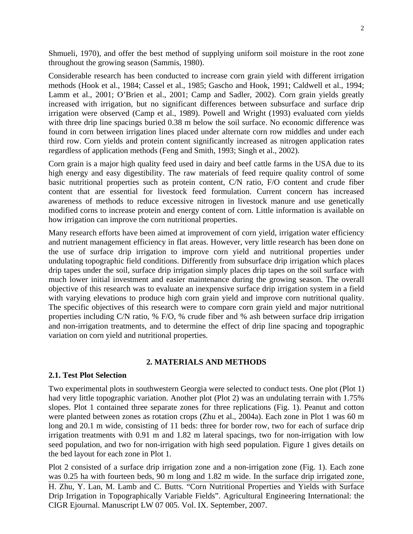Shmueli, 1970), and offer the best method of supplying uniform soil moisture in the root zone throughout the growing season (Sammis, 1980).

Considerable research has been conducted to increase corn grain yield with different irrigation methods (Hook et al., 1984; Cassel et al., 1985; Gascho and Hook, 1991; Caldwell et al., 1994; Lamm et al., 2001; O'Brien et al., 2001; Camp and Sadler, 2002). Corn grain yields greatly increased with irrigation, but no significant differences between subsurface and surface drip irrigation were observed (Camp et al., 1989). Powell and Wright (1993) evaluated corn yields with three drip line spacings buried 0.38 m below the soil surface. No economic difference was found in corn between irrigation lines placed under alternate corn row middles and under each third row. Corn yields and protein content significantly increased as nitrogen application rates regardless of application methods (Feng and Smith, 1993; Singh et al., 2002).

Corn grain is a major high quality feed used in dairy and beef cattle farms in the USA due to its high energy and easy digestibility. The raw materials of feed require quality control of some basic nutritional properties such as protein content, C/N ratio, F/O content and crude fiber content that are essential for livestock feed formulation. Current concern has increased awareness of methods to reduce excessive nitrogen in livestock manure and use genetically modified corns to increase protein and energy content of corn. Little information is available on how irrigation can improve the corn nutritional properties.

Many research efforts have been aimed at improvement of corn yield, irrigation water efficiency and nutrient management efficiency in flat areas. However, very little research has been done on the use of surface drip irrigation to improve corn yield and nutritional properties under undulating topographic field conditions. Differently from subsurface drip irrigation which places drip tapes under the soil, surface drip irrigation simply places drip tapes on the soil surface with much lower initial investment and easier maintenance during the growing season. The overall objective of this research was to evaluate an inexpensive surface drip irrigation system in a field with varying elevations to produce high corn grain yield and improve corn nutritional quality. The specific objectives of this research were to compare corn grain yield and major nutritional properties including C/N ratio, % F/O, % crude fiber and % ash between surface drip irrigation and non-irrigation treatments, and to determine the effect of drip line spacing and topographic variation on corn yield and nutritional properties.

#### **2. MATERIALS AND METHODS**

### **2.1. Test Plot Selection**

Two experimental plots in southwestern Georgia were selected to conduct tests. One plot (Plot 1) had very little topographic variation. Another plot (Plot 2) was an undulating terrain with 1.75% slopes. Plot 1 contained three separate zones for three replications (Fig. 1). Peanut and cotton were planted between zones as rotation crops (Zhu et al., 2004a). Each zone in Plot 1 was 60 m long and 20.1 m wide, consisting of 11 beds: three for border row, two for each of surface drip irrigation treatments with 0.91 m and 1.82 m lateral spacings, two for non-irrigation with low seed population, and two for non-irrigation with high seed population. Figure 1 gives details on the bed layout for each zone in Plot 1.

Plot 2 consisted of a surface drip irrigation zone and a non-irrigation zone (Fig. 1). Each zone was 0.25 ha with fourteen beds, 90 m long and 1.82 m wide. In the surface drip irrigated zone,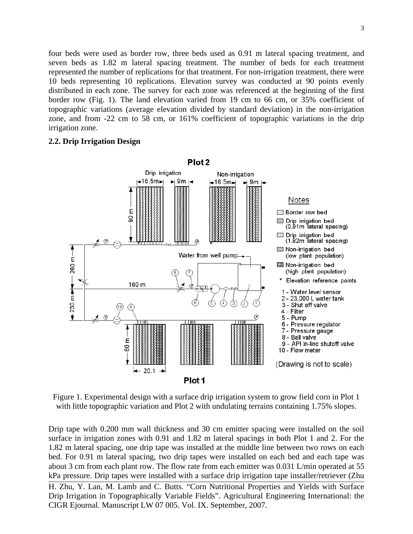four beds were used as border row, three beds used as 0.91 m lateral spacing treatment, and seven beds as 1.82 m lateral spacing treatment. The number of beds for each treatment represented the number of replications for that treatment. For non-irrigation treatment, there were 10 beds representing 10 replications. Elevation survey was conducted at 90 points evenly distributed in each zone. The survey for each zone was referenced at the beginning of the first border row (Fig. 1). The land elevation varied from 19 cm to 66 cm, or 35% coefficient of topographic variations (average elevation divided by standard deviation) in the non-irrigation zone, and from -22 cm to 58 cm, or 161% coefficient of topographic variations in the drip irrigation zone.

### **2.2. Drip Irrigation Design**



Figure 1. Experimental design with a surface drip irrigation system to grow field corn in Plot 1 with little topographic variation and Plot 2 with undulating terrains containing 1.75% slopes.

Drip tape with 0.200 mm wall thickness and 30 cm emitter spacing were installed on the soil surface in irrigation zones with 0.91 and 1.82 m lateral spacings in both Plot 1 and 2. For the 1.82 m lateral spacing, one drip tape was installed at the middle line between two rows on each bed. For 0.91 m lateral spacing, two drip tapes were installed on each bed and each tape was about 3 cm from each plant row. The flow rate from each emitter was 0.031 L/min operated at 55 kPa pressure. Drip tapes were installed with a surface drip irrigation tape installer/retriever (Zhu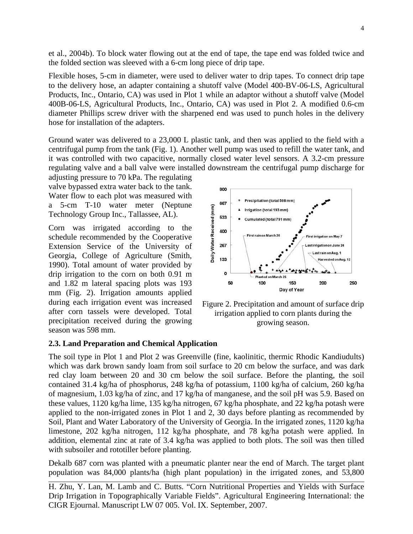et al., 2004b). To block water flowing out at the end of tape, the tape end was folded twice and the folded section was sleeved with a 6-cm long piece of drip tape.

Flexible hoses, 5-cm in diameter, were used to deliver water to drip tapes. To connect drip tape to the delivery hose, an adapter containing a shutoff valve (Model 400-BV-06-LS, Agricultural Products, Inc., Ontario, CA) was used in Plot 1 while an adaptor without a shutoff valve (Model 400B-06-LS, Agricultural Products, Inc., Ontario, CA) was used in Plot 2. A modified 0.6-cm diameter Phillips screw driver with the sharpened end was used to punch holes in the delivery hose for installation of the adapters.

Ground water was delivered to a 23,000 L plastic tank, and then was applied to the field with a centrifugal pump from the tank (Fig. 1). Another well pump was used to refill the water tank, and it was controlled with two capacitive, normally closed water level sensors. A 3.2-cm pressure regulating valve and a ball valve were installed downstream the centrifugal pump discharge for

adjusting pressure to 70 kPa. The regulating valve bypassed extra water back to the tank. Water flow to each plot was measured with a 5-cm T-10 water meter (Neptune Technology Group Inc., Tallassee, AL).

Corn was irrigated according to the schedule recommended by the Cooperative Extension Service of the University of Georgia, College of Agriculture (Smith, 1990). Total amount of water provided by drip irrigation to the corn on both 0.91 m and 1.82 m lateral spacing plots was 193 mm (Fig. 2). Irrigation amounts applied during each irrigation event was increased after corn tassels were developed. Total precipitation received during the growing season was 598 mm.



Figure 2. Precipitation and amount of surface drip irrigation applied to corn plants during the growing season.

#### **2.3. Land Preparation and Chemical Application**

The soil type in Plot 1 and Plot 2 was Greenville (fine, kaolinitic, thermic Rhodic Kandiudults) which was dark brown sandy loam from soil surface to 20 cm below the surface, and was dark red clay loam between 20 and 30 cm below the soil surface. Before the planting, the soil contained 31.4 kg/ha of phosphorus, 248 kg/ha of potassium, 1100 kg/ha of calcium, 260 kg/ha of magnesium, 1.03 kg/ha of zinc, and 17 kg/ha of manganese, and the soil pH was 5.9. Based on these values, 1120 kg/ha lime, 135 kg/ha nitrogen, 67 kg/ha phosphate, and 22 kg/ha potash were applied to the non-irrigated zones in Plot 1 and 2, 30 days before planting as recommended by Soil, Plant and Water Laboratory of the University of Georgia. In the irrigated zones, 1120 kg/ha limestone, 202 kg/ha nitrogen, 112 kg/ha phosphate, and 78 kg/ha potash were applied. In addition, elemental zinc at rate of 3.4 kg/ha was applied to both plots. The soil was then tilled with subsoiler and rototiller before planting.

Dekalb 687 corn was planted with a pneumatic planter near the end of March. The target plant population was 84,000 plants/ha (high plant population) in the irrigated zones, and 53,800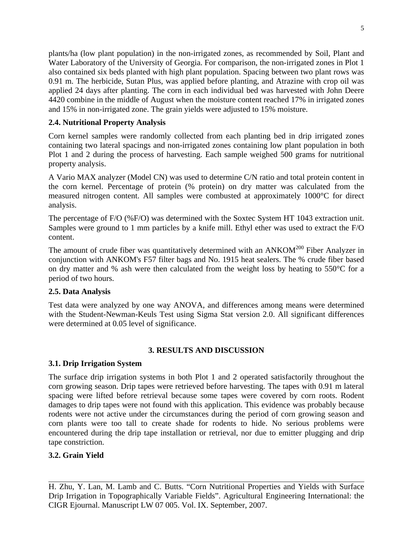plants/ha (low plant population) in the non-irrigated zones, as recommended by Soil, Plant and Water Laboratory of the University of Georgia. For comparison, the non-irrigated zones in Plot 1 also contained six beds planted with high plant population. Spacing between two plant rows was 0.91 m. The herbicide, Sutan Plus, was applied before planting, and Atrazine with crop oil was applied 24 days after planting. The corn in each individual bed was harvested with John Deere 4420 combine in the middle of August when the moisture content reached 17% in irrigated zones and 15% in non-irrigated zone. The grain yields were adjusted to 15% moisture.

## **2.4. Nutritional Property Analysis**

Corn kernel samples were randomly collected from each planting bed in drip irrigated zones containing two lateral spacings and non-irrigated zones containing low plant population in both Plot 1 and 2 during the process of harvesting. Each sample weighed 500 grams for nutritional property analysis.

A Vario MAX analyzer (Model CN) was used to determine C/N ratio and total protein content in the corn kernel. Percentage of protein (% protein) on dry matter was calculated from the measured nitrogen content. All samples were combusted at approximately 1000°C for direct analysis.

The percentage of F/O (%F/O) was determined with the Soxtec System HT 1043 extraction unit. Samples were ground to 1 mm particles by a knife mill. Ethyl ether was used to extract the F/O content.

The amount of crude fiber was quantitatively determined with an  $ANKOM<sup>200</sup>$  Fiber Analyzer in conjunction with ANKOM's F57 filter bags and No. 1915 heat sealers. The % crude fiber based on dry matter and % ash were then calculated from the weight loss by heating to 550°C for a period of two hours.

## **2.5. Data Analysis**

Test data were analyzed by one way ANOVA, and differences among means were determined with the Student-Newman-Keuls Test using Sigma Stat version 2.0. All significant differences were determined at 0.05 level of significance.

## **3. RESULTS AND DISCUSSION**

## **3.1. Drip Irrigation System**

The surface drip irrigation systems in both Plot 1 and 2 operated satisfactorily throughout the corn growing season. Drip tapes were retrieved before harvesting. The tapes with 0.91 m lateral spacing were lifted before retrieval because some tapes were covered by corn roots. Rodent damages to drip tapes were not found with this application. This evidence was probably because rodents were not active under the circumstances during the period of corn growing season and corn plants were too tall to create shade for rodents to hide. No serious problems were encountered during the drip tape installation or retrieval, nor due to emitter plugging and drip tape constriction.

## **3.2. Grain Yield**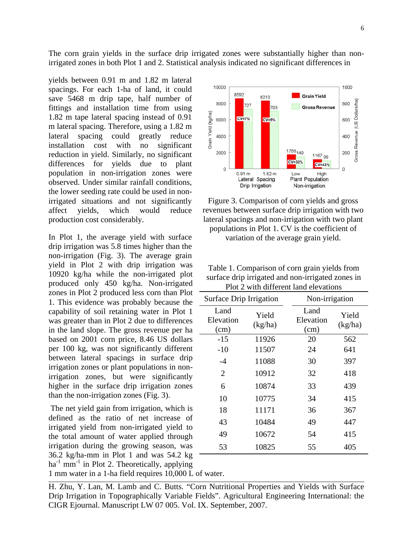The corn grain yields in the surface drip irrigated zones were substantially higher than nonirrigated zones in both Plot 1 and 2. Statistical analysis indicated no significant differences in

yields between 0.91 m and 1.82 m lateral spacings. For each 1-ha of land, it could save 5468 m drip tape, half number of fittings and installation time from using 1.82 m tape lateral spacing instead of 0.91 m lateral spacing. Therefore, using a 1.82 m lateral spacing could greatly reduce installation cost with no significant reduction in yield. Similarly, no significant differences for yields due to plant population in non-irrigation zones were observed. Under similar rainfall conditions, the lower seeding rate could be used in nonirrigated situations and not significantly affect yields, which would reduce production cost considerably.

In Plot 1, the average yield with surface drip irrigation was 5.8 times higher than the non-irrigation (Fig. 3). The average grain yield in Plot 2 with drip irrigation was 10920 kg/ha while the non-irrigated plot produced only 450 kg/ha. Non-irrigated zones in Plot 2 produced less corn than Plot 1. This evidence was probably because the capability of soil retaining water in Plot 1 was greater than in Plot 2 due to differences in the land slope. The gross revenue per ha based on 2001 corn price, 8.46 US dollars per 100 kg, was not significantly different between lateral spacings in surface drip irrigation zones or plant populations in nonirrigation zones, but were significantly higher in the surface drip irrigation zones than the non-irrigation zones (Fig. 3).

 The net yield gain from irrigation, which is defined as the ratio of net increase of irrigated yield from non-irrigated yield to the total amount of water applied through irrigation during the growing season, was 36.2 kg/ha-mm in Plot 1 and was 54.2 kg  $ha^{-1}$  mm<sup>-1</sup> in Plot 2. Theoretically, applying

1 mm water in a 1-ha field requires 10,000 L of water.

H. Zhu, Y. Lan, M. Lamb and C. Butts. "Corn Nutritional Properties and Yields with Surface Drip Irrigation in Topographically Variable Fields". Agricultural Engineering International: the CIGR Ejournal. Manuscript LW 07 005. Vol. IX. September, 2007.



Figure 3. Comparison of corn yields and gross revenues between surface drip irrigation with two lateral spacings and non-irrigation with two plant populations in Plot 1. CV is the coefficient of variation of the average grain yield.

| Table 1. Comparison of corn grain yields from     |
|---------------------------------------------------|
| surface drip irrigated and non-irrigated zones in |
| Plot 2 with different land elevations             |

| Surface Drip Irrigation   |                  | Non-irrigation            |                  |
|---------------------------|------------------|---------------------------|------------------|
| Land<br>Elevation<br>(cm) | Yield<br>(kg/ha) | Land<br>Elevation<br>(cm) | Yield<br>(kg/ha) |
| $-15$                     | 11926            | 20                        | 562              |
| $-10$                     | 11507            | 24                        | 641              |
| $-4$                      | 11088            | 30                        | 397              |
| 2                         | 10912            | 32                        | 418              |
| 6                         | 10874            | 33                        | 439              |
| 10                        | 10775            | 34                        | 415              |
| 18                        | 11171            | 36                        | 367              |
| 43                        | 10484            | 49                        | 447              |
| 49                        | 10672            | 54                        | 415              |
| 53                        | 10825            | 55                        | 405              |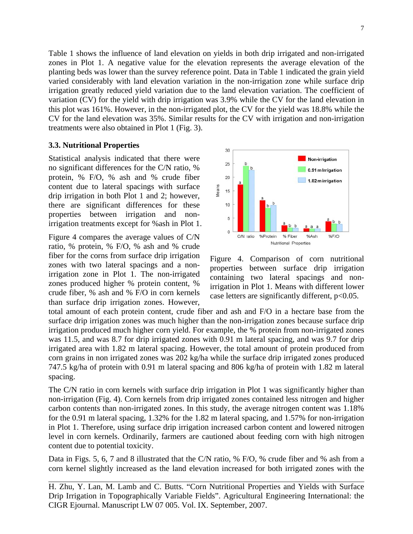Table 1 shows the influence of land elevation on yields in both drip irrigated and non-irrigated zones in Plot 1. A negative value for the elevation represents the average elevation of the planting beds was lower than the survey reference point. Data in Table 1 indicated the grain yield varied considerably with land elevation variation in the non-irrigation zone while surface drip irrigation greatly reduced yield variation due to the land elevation variation. The coefficient of variation (CV) for the yield with drip irrigation was 3.9% while the CV for the land elevation in this plot was 161%. However, in the non-irrigated plot, the CV for the yield was 18.8% while the CV for the land elevation was 35%. Similar results for the CV with irrigation and non-irrigation treatments were also obtained in Plot 1 (Fig. 3).

### **3.3. Nutritional Properties**

Statistical analysis indicated that there were no significant differences for the C/N ratio, % protein, % F/O, % ash and % crude fiber content due to lateral spacings with surface drip irrigation in both Plot 1 and 2; however, there are significant differences for these properties between irrigation and nonirrigation treatments except for %ash in Plot 1.

Figure 4 compares the average values of C/N ratio, % protein, % F/O, % ash and % crude fiber for the corns from surface drip irrigation zones with two lateral spacings and a nonirrigation zone in Plot 1. The non-irrigated zones produced higher % protein content, % crude fiber, % ash and % F/O in corn kernels than surface drip irrigation zones. However,



Figure 4. Comparison of corn nutritional properties between surface drip irrigation containing two lateral spacings and nonirrigation in Plot 1. Means with different lower case letters are significantly different,  $p<0.05$ .

total amount of each protein content, crude fiber and ash and F/O in a hectare base from the surface drip irrigation zones was much higher than the non-irrigation zones because surface drip irrigation produced much higher corn yield. For example, the % protein from non-irrigated zones was 11.5, and was 8.7 for drip irrigated zones with 0.91 m lateral spacing, and was 9.7 for drip irrigated area with 1.82 m lateral spacing. However, the total amount of protein produced from corn grains in non irrigated zones was 202 kg/ha while the surface drip irrigated zones produced 747.5 kg/ha of protein with 0.91 m lateral spacing and 806 kg/ha of protein with 1.82 m lateral spacing.

The C/N ratio in corn kernels with surface drip irrigation in Plot 1 was significantly higher than non-irrigation (Fig. 4). Corn kernels from drip irrigated zones contained less nitrogen and higher carbon contents than non-irrigated zones. In this study, the average nitrogen content was 1.18% for the 0.91 m lateral spacing, 1.32% for the 1.82 m lateral spacing, and 1.57% for non-irrigation in Plot 1. Therefore, using surface drip irrigation increased carbon content and lowered nitrogen level in corn kernels. Ordinarily, farmers are cautioned about feeding corn with high nitrogen content due to potential toxicity.

Data in Figs. 5, 6, 7 and 8 illustrated that the C/N ratio, % F/O, % crude fiber and % ash from a corn kernel slightly increased as the land elevation increased for both irrigated zones with the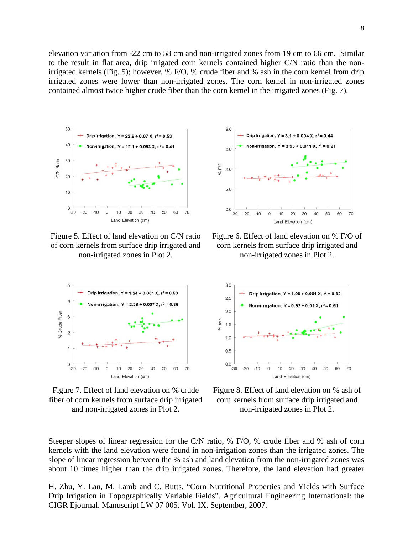elevation variation from -22 cm to 58 cm and non-irrigated zones from 19 cm to 66 cm. Similar to the result in flat area, drip irrigated corn kernels contained higher C/N ratio than the nonirrigated kernels (Fig. 5); however, % F/O, % crude fiber and % ash in the corn kernel from drip irrigated zones were lower than non-irrigated zones. The corn kernel in non-irrigated zones contained almost twice higher crude fiber than the corn kernel in the irrigated zones (Fig. 7).



Figure 5. Effect of land elevation on C/N ratio of corn kernels from surface drip irrigated and non-irrigated zones in Plot 2.



Figure 7. Effect of land elevation on % crude fiber of corn kernels from surface drip irrigated and non-irrigated zones in Plot 2.



Figure 6. Effect of land elevation on % F/O of corn kernels from surface drip irrigated and non-irrigated zones in Plot 2.



Figure 8. Effect of land elevation on % ash of corn kernels from surface drip irrigated and non-irrigated zones in Plot 2.

Steeper slopes of linear regression for the C/N ratio, % F/O, % crude fiber and % ash of corn kernels with the land elevation were found in non-irrigation zones than the irrigated zones. The slope of linear regression between the % ash and land elevation from the non-irrigated zones was about 10 times higher than the drip irrigated zones. Therefore, the land elevation had greater

H. Zhu, Y. Lan, M. Lamb and C. Butts. "Corn Nutritional Properties and Yields with Surface Drip Irrigation in Topographically Variable Fields". Agricultural Engineering International: the CIGR Ejournal. Manuscript LW 07 005. Vol. IX. September, 2007.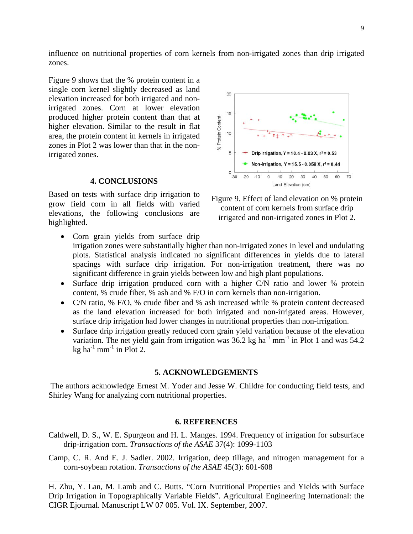influence on nutritional properties of corn kernels from non-irrigated zones than drip irrigated zones.

Figure 9 shows that the % protein content in a single corn kernel slightly decreased as land elevation increased for both irrigated and nonirrigated zones. Corn at lower elevation produced higher protein content than that at higher elevation. Similar to the result in flat area, the protein content in kernels in irrigated zones in Plot 2 was lower than that in the nonirrigated zones.

### **4. CONCLUSIONS**

Based on tests with surface drip irrigation to grow field corn in all fields with varied elevations, the following conclusions are highlighted.

- $\infty$ 15 % Protein Content 10 5 Drip Irrigation,  $Y = 10.4 - 0.03 X$ ,  $r^2 = 0.53$ Non-irrigation, Y = 15.5 - 0.058 X, r<sup>2</sup> = 0.44  $\circ$  $-30$  $-20 - 10$  $\circ$ 10 20 30 40 50 60 70 Land Elevation (cm)
- Figure 9. Effect of land elevation on % protein content of corn kernels from surface drip irrigated and non-irrigated zones in Plot 2.
- Corn grain yields from surface drip irrigation zones were substantially higher than non-irrigated zones in level and undulating plots. Statistical analysis indicated no significant differences in yields due to lateral spacings with surface drip irrigation. For non-irrigation treatment, there was no significant difference in grain yields between low and high plant populations.
- Surface drip irrigation produced corn with a higher C/N ratio and lower % protein content, % crude fiber, % ash and % F/O in corn kernels than non-irrigation.
- C/N ratio, % F/O, % crude fiber and % ash increased while % protein content decreased as the land elevation increased for both irrigated and non-irrigated areas. However, surface drip irrigation had lower changes in nutritional properties than non-irrigation.
- Surface drip irrigation greatly reduced corn grain yield variation because of the elevation variation. The net yield gain from irrigation was  $36.2$  kg ha<sup>-1</sup> mm<sup>-1</sup> in Plot 1 and was  $54.2$ kg ha $^{-1}$  mm<sup>-1</sup> in Plot 2.

#### **5. ACKNOWLEDGEMENTS**

 The authors acknowledge Ernest M. Yoder and Jesse W. Childre for conducting field tests, and Shirley Wang for analyzing corn nutritional properties.

#### **6. REFERENCES**

- Caldwell, D. S., W. E. Spurgeon and H. L. Manges. 1994. Frequency of irrigation for subsurface drip-irrigation corn. *Transactions of the ASAE* 37(4): 1099-1103
- Camp, C. R. And E. J. Sadler. 2002. Irrigation, deep tillage, and nitrogen management for a corn-soybean rotation. *Transactions of the ASAE* 45(3): 601-608
- H. Zhu, Y. Lan, M. Lamb and C. Butts. "Corn Nutritional Properties and Yields with Surface Drip Irrigation in Topographically Variable Fields". Agricultural Engineering International: the CIGR Ejournal. Manuscript LW 07 005. Vol. IX. September, 2007.